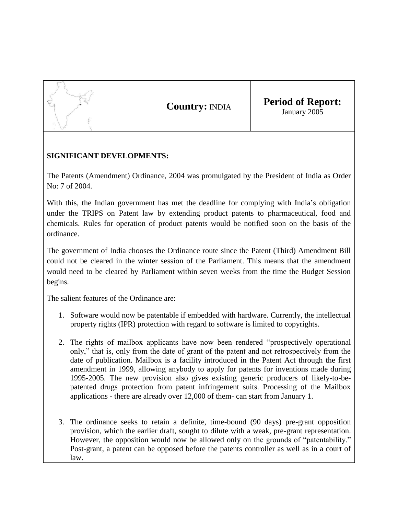

**Country:** INDIA **Period of Report:** January 2005

## **SIGNIFICANT DEVELOPMENTS:**

The Patents (Amendment) Ordinance, 2004 was promulgated by the President of India as Order No: 7 of 2004.

With this, the Indian government has met the deadline for complying with India's obligation under the TRIPS on Patent law by extending product patents to pharmaceutical, food and chemicals. Rules for operation of product patents would be notified soon on the basis of the ordinance.

The government of India chooses the Ordinance route since the Patent (Third) Amendment Bill could not be cleared in the winter session of the Parliament. This means that the amendment would need to be cleared by Parliament within seven weeks from the time the Budget Session begins.

The salient features of the Ordinance are:

- 1. Software would now be patentable if embedded with hardware. Currently, the intellectual property rights (IPR) protection with regard to software is limited to copyrights.
- 2. The rights of mailbox applicants have now been rendered "prospectively operational only," that is, only from the date of grant of the patent and not retrospectively from the date of publication. Mailbox is a facility introduced in the Patent Act through the first amendment in 1999, allowing anybody to apply for patents for inventions made during 1995-2005. The new provision also gives existing generic producers of likely-to-bepatented drugs protection from patent infringement suits. Processing of the Mailbox applications - there are already over 12,000 of them- can start from January 1.
- 3. The ordinance seeks to retain a definite, time-bound (90 days) pre-grant opposition provision, which the earlier draft, sought to dilute with a weak, pre-grant representation. However, the opposition would now be allowed only on the grounds of "patentability." Post-grant, a patent can be opposed before the patents controller as well as in a court of law.